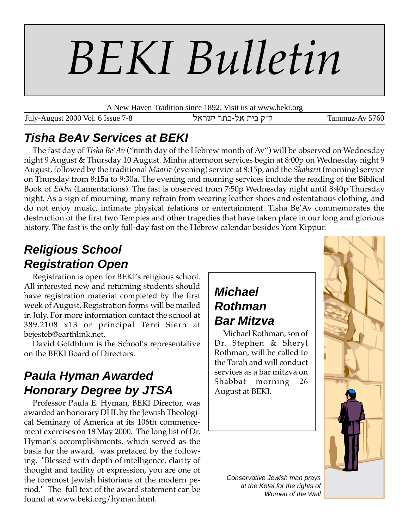# *BEKI Bulletin*

A New Haven Tradition since 1892. Visit us at www.beki.org

July-August 2000 Vol. 6 Issue 7-8 ktrah r,f-kt ,hc e"e Tammuz-Av 5760

# **Tisha BeAv Services at BEKI**

The fast day of *Tisha Be'Av* ("ninth day of the Hebrew month of Av") will be observed on Wednesday night 9 August & Thursday 10 August. Minha afternoon services begin at 8:00p on Wednesday night 9 August, followed by the traditional *Maariv* (evening) service at 8:15p, and the *Shaharit* (morning) service on Thursday from 8:15a to 9:30a. The evening and morning services include the reading of the Biblical Book of *Eikha* (Lamentations). The fast is observed from 7:50p Wednesday night until 8:40p Thursday night. As a sign of mourning, many refrain from wearing leather shoes and ostentatious clothing, and do not enjoy music, intimate physical relations or entertainment. Tisha Be'Av commemorates the destruction of the first two Temples and other tragedies that have taken place in our long and glorious history. The fast is the only full-day fast on the Hebrew calendar besides Yom Kippur.

# **Religious School Registration Open**

Registration is open for BEKI's religious school. All interested new and returning students should have registration material completed by the first week of August. Registration forms will be mailed in July. For more information contact the school at 389.2108 x13 or principal Terri Stern at bejesteb@earthlink.net.

David Goldblum is the School's representative on the BEKI Board of Directors.

# **Paula Hyman Awarded Honorary Degree by JTSA**

Professor Paula E. Hyman, BEKI Director, was awarded an honorary DHL by the Jewish Theological Seminary of America at its 106th commencement exercises on 18 May 2000. The long list of Dr. Hyman's accomplishments, which served as the basis for the award, was prefaced by the following. "Blessed with depth of intelligence, clarity of thought and facility of expression, you are one of the foremost Jewish historians of the modern period." The full text of the award statement can be found at www.beki.org/hyman.html.

# **Michael Rothman Bar Mitzva**

Michael Rothman, son of Dr. Stephen & Sheryl Rothman, will be called to the Torah and will conduct services as a bar mitzva on Shabbat morning 26 August at BEKI.



Conservative Jewish man prays at the Kotel for the rights of Women of the Wall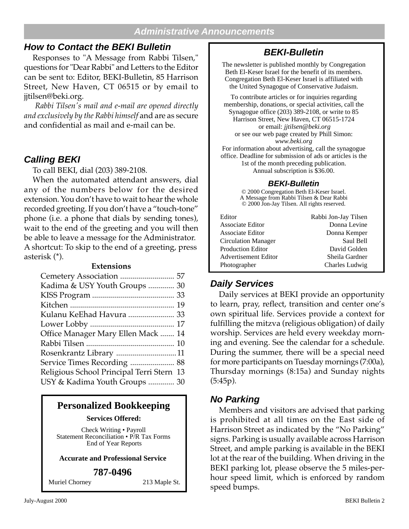#### **Administrative Announcements**

## **How to Contact the BEKI Bulletin**

Responses to "A Message from Rabbi Tilsen," questions for "Dear Rabbi" and Letters to the Editor can be sent to: Editor, BEKI-Bulletin, 85 Harrison Street, New Haven, CT 06515 or by email to jjtilsen@beki.org.

 *Rabbi Tilsen's mail and e-mail are opened directly and exclusively by the Rabbi himself* and are as secure and confidential as mail and e-mail can be.

## **Calling BEKI**

To call BEKI, dial (203) 389-2108.

When the automated attendant answers, dial any of the numbers below for the desired extension. You don't have to wait to hear the whole recorded greeting. If you don't have a "touch-tone" phone (i.e. a phone that dials by sending tones), wait to the end of the greeting and you will then be able to leave a message for the Administrator. A shortcut: To skip to the end of a greeting, press asterisk (\*).

#### **Extensions**

| Kadima & USY Youth Groups  30             |
|-------------------------------------------|
|                                           |
|                                           |
| Kulanu KeEhad Havura  33                  |
|                                           |
| Office Manager Mary Ellen Mack  14        |
|                                           |
| Rosenkrantz Library 11                    |
| Service Times Recording  88               |
| Religious School Principal Terri Stern 13 |
| USY & Kadima Youth Groups  30             |

## **Personalized Bookkeeping**

**Services Offered:**

Check Writing • Payroll Statement Reconciliation • P/R Tax Forms End of Year Reports

#### **Accurate and Professional Service**

#### **787-0496**

Muriel Chorney 213 Maple St.

## **BEKI-Bulletin**

The newsletter is published monthly by Congregation Beth El-Keser Israel for the benefit of its members. Congregation Beth El-Keser Israel is affiliated with the United Synagogue of Conservative Judaism.

To contribute articles or for inquiries regarding membership, donations, or special activities, call the Synagogue office (203) 389-2108, or write to 85 Harrison Street, New Haven, CT 06515-1724 or email: *jjtilsen@beki.org* or see our web page created by Phill Simon: *www.beki.org* For information about advertising, call the synagogue

office. Deadline for submission of ads or articles is the 1st of the month preceding publication. Annual subscription is \$36.00.

#### **BEKI-Bulletin**

© 2000 Congregation Beth El-Keser Israel. A Message from Rabbi Tilsen & Dear Rabbi © 2000 Jon-Jay Tilsen. All rights reserved.

| Editor                     | Rabbi Jon-Jay Tilsen |
|----------------------------|----------------------|
| Associate Editor           | Donna Levine         |
| Associate Editor           | Donna Kemper         |
| <b>Circulation Manager</b> | Saul Bell            |
| <b>Production Editor</b>   | David Golden         |
| Advertisement Editor       | Sheila Gardner       |
| Photographer               | Charles Ludwig       |

## **Daily Services**

Daily services at BEKI provide an opportunity to learn, pray, reflect, transition and center one's own spiritual life. Services provide a context for fulfilling the mitzva (religious obligation) of daily worship. Services are held every weekday morning and evening. See the calendar for a schedule. During the summer, there will be a special need for more participants on Tuesday mornings (7:00a), Thursday mornings (8:15a) and Sunday nights  $(5:45p).$ 

#### **No Parking**

Members and visitors are advised that parking is prohibited at all times on the East side of Harrison Street as indicated by the "No Parking" signs. Parking is usually available across Harrison Street, and ample parking is available in the BEKI lot at the rear of the building. When driving in the BEKI parking lot, please observe the 5 miles-perhour speed limit, which is enforced by random speed bumps.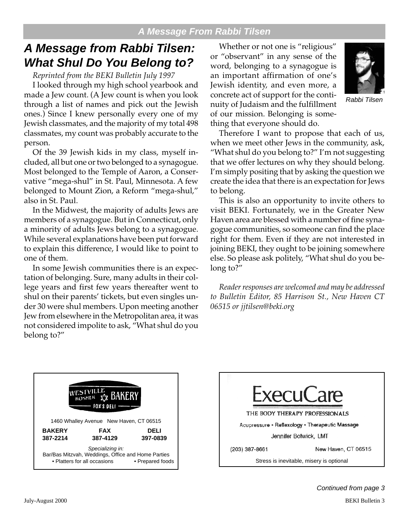# **A Message from Rabbi Tilsen: What Shul Do You Belong to?**

*Reprinted from the BEKI Bulletin July 1997*

I looked through my high school yearbook and made a Jew count. (A Jew count is when you look through a list of names and pick out the Jewish ones.) Since I knew personally every one of my Jewish classmates, and the majority of my total 498 classmates, my count was probably accurate to the person.

Of the 39 Jewish kids in my class, myself included, all but one or two belonged to a synagogue. Most belonged to the Temple of Aaron, a Conservative "mega-shul" in St. Paul, Minnesota. A few belonged to Mount Zion, a Reform "mega-shul," also in St. Paul.

In the Midwest, the majority of adults Jews are members of a synagogue. But in Connecticut, only a minority of adults Jews belong to a synagogue. While several explanations have been put forward to explain this difference, I would like to point to one of them.

In some Jewish communities there is an expectation of belonging. Sure, many adults in their college years and first few years thereafter went to shul on their parents' tickets, but even singles under 30 were shul members. Upon meeting another Jew from elsewhere in the Metropolitan area, it was not considered impolite to ask, "What shul do you belong to?"

Whether or not one is "religious" or "observant" in any sense of the word, belonging to a synagogue is an important affirmation of one's Jewish identity, and even more, a concrete act of support for the continuity of Judaism and the fulfillment of our mission. Belonging is something that everyone should do.



Rabbi Tilsen

Therefore I want to propose that each of us, when we meet other Jews in the community, ask, "What shul do you belong to?" I'm not suggesting that we offer lectures on why they should belong. I'm simply positing that by asking the question we create the idea that there is an expectation for Jews to belong.

This is also an opportunity to invite others to visit BEKI. Fortunately, we in the Greater New Haven area are blessed with a number of fine synagogue communities, so someone can find the place right for them. Even if they are not interested in joining BEKI, they ought to be joining somewhere else. So please ask politely, "What shul do you belong to?"

*Reader responses are welcomed and may be addressed to Bulletin Editor, 85 Harrison St., New Haven CT 06515 or jjtilsen@beki.org*





Continued from page 3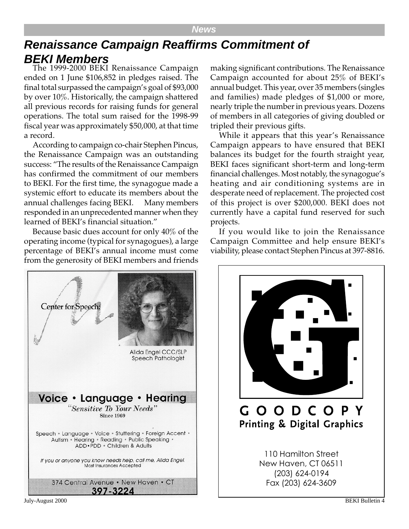#### **News**

# **Renaissance Campaign Reaffirms Commitment of BEKI Members**

The 1999-2000 BEKI Renaissance Campaign ended on 1 June \$106,852 in pledges raised. The final total surpassed the campaign's goal of \$93,000 by over 10%. Historically, the campaign shattered all previous records for raising funds for general operations. The total sum raised for the 1998-99 fiscal year was approximately \$50,000, at that time a record.

According to campaign co-chair Stephen Pincus, the Renaissance Campaign was an outstanding success: "The results of the Renaissance Campaign has confirmed the commitment of our members to BEKI. For the first time, the synagogue made a systemic effort to educate its members about the annual challenges facing BEKI. Many members responded in an unprecedented manner when they learned of BEKI's financial situation."

Because basic dues account for only 40% of the operating income (typical for synagogues), a large percentage of BEKI's annual income must come from the generosity of BEKI members and friends

making significant contributions. The Renaissance Campaign accounted for about 25% of BEKI's annual budget. This year, over 35 members (singles and families) made pledges of \$1,000 or more, nearly triple the number in previous years. Dozens of members in all categories of giving doubled or tripled their previous gifts.

While it appears that this year's Renaissance Campaign appears to have ensured that BEKI balances its budget for the fourth straight year, BEKI faces significant short-term and long-term financial challenges. Most notably, the synagogue's heating and air conditioning systems are in desperate need of replacement. The projected cost of this project is over \$200,000. BEKI does not currently have a capital fund reserved for such projects.

If you would like to join the Renaissance Campaign Committee and help ensure BEKI's viability, please contact Stephen Pincus at 397-8816.



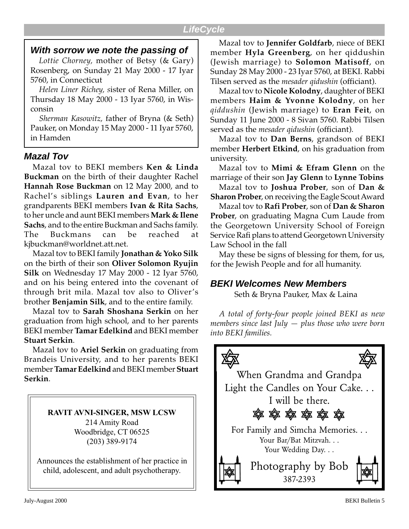## **With sorrow we note the passing of**

*Lottie Chorney,* mother of Betsy (& Gary) Rosenberg, on Sunday 21 May 2000 - 17 Iyar 5760, in Connecticut

*Helen Liner Richey, s*ister of Rena Miller, on Thursday 18 May 2000 - 13 Iyar 5760, in Wisconsin

*Sherman Kasowitz,* father of Bryna (& Seth) Pauker, on Monday 15 May 2000 - 11 Iyar 5760, in Hamden

## **Mazal Tov**

Mazal tov to BEKI members **Ken & Linda Buckman** on the birth of their daughter Rachel **Hannah Rose Buckman** on 12 May 2000, and to Rachel's siblings **Lauren and Evan**, to her grandparents BEKI members **Ivan & Rita Sachs**, to her uncle and aunt BEKI members **Mark & Ilene Sachs**, and to the entire Buckman and Sachs family. The Buckmans can be reached at kjbuckman@worldnet.att.net.

Mazal tov to BEKI family **Jonathan & Yoko Silk** on the birth of their son **Oliver Solomon Ryujin Silk** on Wednesday 17 May 2000 - 12 Iyar 5760, and on his being entered into the covenant of through brit mila. Mazal tov also to Oliver's brother **Benjamin Silk**, and to the entire family.

Mazal tov to **Sarah Shoshana Serkin** on her graduation from high school, and to her parents BEKI member **Tamar Edelkind** and BEKI member **Stuart Serkin**.

Mazal tov to **Ariel Serkin** on graduating from Brandeis University, and to her parents BEKI member **Tamar Edelkind** and BEKI member **Stuart Serkin**.

> **RAVIT AVNI-SINGER, MSW LCSW** 214 Amity Road Woodbridge, CT 06525 (203) 389-9174

Announces the establishment of her practice in child, adolescent, and adult psychotherapy.

Mazal tov to **Jennifer Goldfarb**, niece of BEKI member **Hyla Greenberg**, on her qiddushin (Jewish marriage) to **Solomon Matisoff**, on Sunday 28 May 2000 - 23 Iyar 5760, at BEKI. Rabbi Tilsen served as the *mesader qidushin* (officiant).

Mazal tov to **Nicole Kolodny**, daughter of BEKI members **Haim & Yvonne Kolodny**, on her *qiddushin* (Jewish marriage) to **Eran Feit**, on Sunday 11 June 2000 - 8 Sivan 5760. Rabbi Tilsen served as the *mesader qidushin* (officiant).

Mazal tov to **Dan Berns**, grandson of BEKI member **Herbert Etkind**, on his graduation from university.

Mazal tov to **Mimi & Efram Glenn** on the marriage of their son **Jay Glenn** to **Lynne Tobins**

Mazal tov to **Joshua Prober**, son of **Dan & Sharon Prober**, on receiving the Eagle Scout Award

Mazal tov to **Rafi Prober**, son of **Dan & Sharon Prober**, on graduating Magna Cum Laude from the Georgetown University School of Foreign Service Rafi plans to attend Georgetown University Law School in the fall

May these be signs of blessing for them, for us, for the Jewish People and for all humanity.

## **BEKI Welcomes New Members**

Seth & Bryna Pauker, Max & Laina

*A total of forty-four people joined BEKI as new members since last July — plus those who were born into BEKI families.*

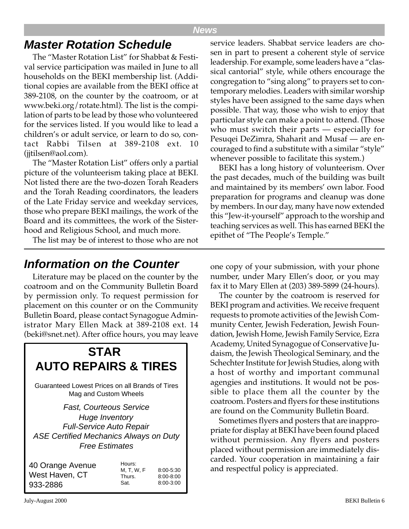#### **News**

## **Master Rotation Schedule**

The "Master Rotation List" for Shabbat & Festival service participation was mailed in June to all households on the BEKI membership list. (Additional copies are available from the BEKI office at 389-2108, on the counter by the coatroom, or at www.beki.org/rotate.html). The list is the compilation of parts to be lead by those who volunteered for the services listed. If you would like to lead a children's or adult service, or learn to do so, contact Rabbi Tilsen at 389-2108 ext. 10 (jjtilsen@aol.com).

The "Master Rotation List" offers only a partial picture of the volunteerism taking place at BEKI. Not listed there are the two-dozen Torah Readers and the Torah Reading coordinators, the leaders of the Late Friday service and weekday services, those who prepare BEKI mailings, the work of the Board and its committees, the work of the Sisterhood and Religious School, and much more.

The list may be of interest to those who are not

service leaders. Shabbat service leaders are chosen in part to present a coherent style of service leadership. For example, some leaders have a "classical cantorial" style, while others encourage the congregation to "sing along" to prayers set to contemporary melodies. Leaders with similar worship styles have been assigned to the same days when possible. That way, those who wish to enjoy that particular style can make a point to attend. (Those who must switch their parts — especially for Pesuqei DeZimra, Shaharit and Musaf — are encouraged to find a substitute with a similar "style" whenever possible to facilitate this system.)

BEKI has a long history of volunteerism. Over the past decades, much of the building was built and maintained by its members' own labor. Food preparation for programs and cleanup was done by members. In our day, many have now extended this "Jew-it-yourself" approach to the worship and teaching services as well. This has earned BEKI the epithet of "The People's Temple."

## **Information on the Counter**

Literature may be placed on the counter by the coatroom and on the Community Bulletin Board by permission only. To request permission for placement on this counter or on the Community Bulletin Board, please contact Synagogue Administrator Mary Ellen Mack at 389-2108 ext. 14 (beki@snet.net). After office hours, you may leave



one copy of your submission, with your phone number, under Mary Ellen's door, or you may fax it to Mary Ellen at (203) 389-5899 (24-hours).

The counter by the coatroom is reserved for BEKI program and activities. We receive frequent requests to promote activities of the Jewish Community Center, Jewish Federation, Jewish Foundation, Jewish Home, Jewish Family Service, Ezra Academy, United Synagogue of Conservative Judaism, the Jewish Theological Seminary, and the Schechter Institute for Jewish Studies, along with a host of worthy and important communal agengies and institutions. It would not be possible to place them all the counter by the coatroom. Posters and flyers for these institutions are found on the Community Bulletin Board.

Sometimes flyers and posters that are inappropriate for display at BEKI have been found placed without permission. Any flyers and posters placed without permission are immediately discarded. Your cooperation in maintaining a fair and respectful policy is appreciated.